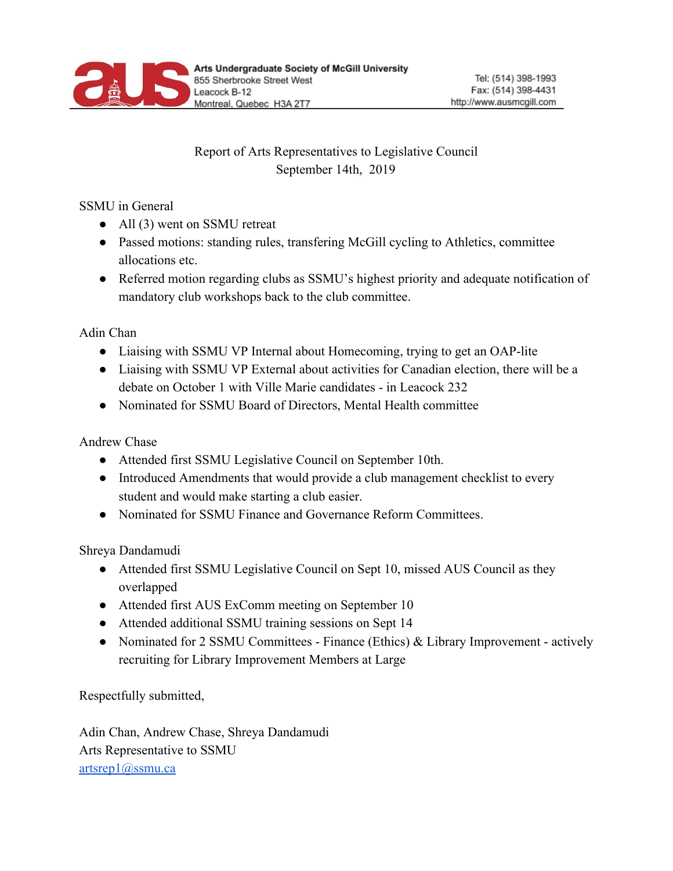

## Report of Arts Representatives to Legislative Council September 14th, 2019

## SSMU in General

- All (3) went on SSMU retreat
- Passed motions: standing rules, transfering McGill cycling to Athletics, committee allocations etc.
- Referred motion regarding clubs as SSMU's highest priority and adequate notification of mandatory club workshops back to the club committee.

Adin Chan

- Liaising with SSMU VP Internal about Homecoming, trying to get an OAP-lite
- Liaising with SSMU VP External about activities for Canadian election, there will be a debate on October 1 with Ville Marie candidates - in Leacock 232
- Nominated for SSMU Board of Directors, Mental Health committee

Andrew Chase

- Attended first SSMU Legislative Council on September 10th.
- Introduced Amendments that would provide a club management checklist to every student and would make starting a club easier.
- Nominated for SSMU Finance and Governance Reform Committees.

Shreya Dandamudi

- Attended first SSMU Legislative Council on Sept 10, missed AUS Council as they overlapped
- Attended first AUS ExComm meeting on September 10
- Attended additional SSMU training sessions on Sept 14
- Nominated for 2 SSMU Committees Finance (Ethics) & Library Improvement actively recruiting for Library Improvement Members at Large

Respectfully submitted,

Adin Chan, Andrew Chase, Shreya Dandamudi Arts Representative to SSMU [artsrep1@ssmu.ca](mailto:artsrep1@ssmu.ca)